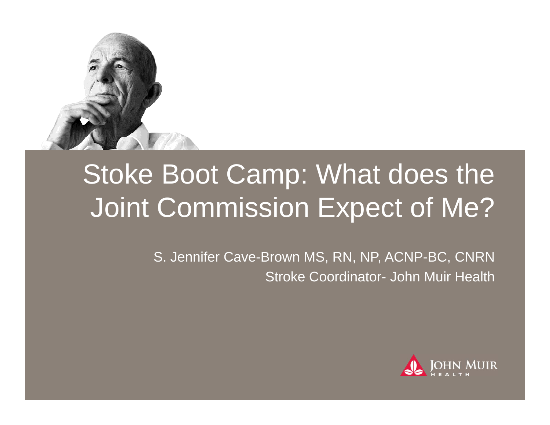

# Stoke Boot Camp: What does the Joint Commission Expect of Me?

S. Jennifer Cave-Brown MS, RN, NP, ACNP-BC, CNRN Stroke Coordinator- John Muir Health

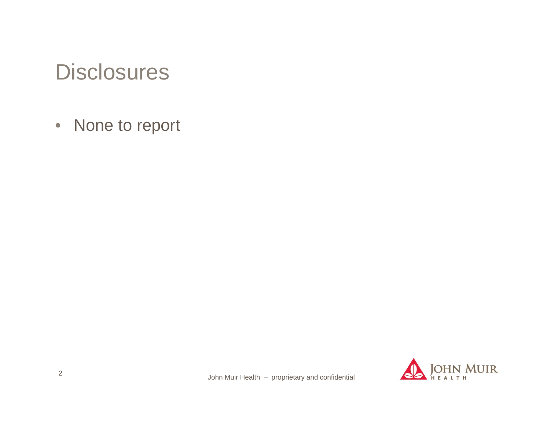# Disclosures

• None to report

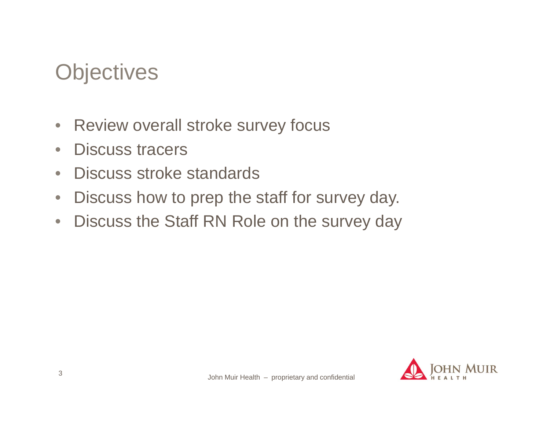# **Objectives**

- $\bullet$ Review overall stroke survey focus
- $\bullet$ Discuss tracers
- $\bullet$ Discuss stroke standards
- $\bullet$ Discuss how to prep the staff for survey day.
- $\bullet$ Discuss the Staff RN Role on the survey day

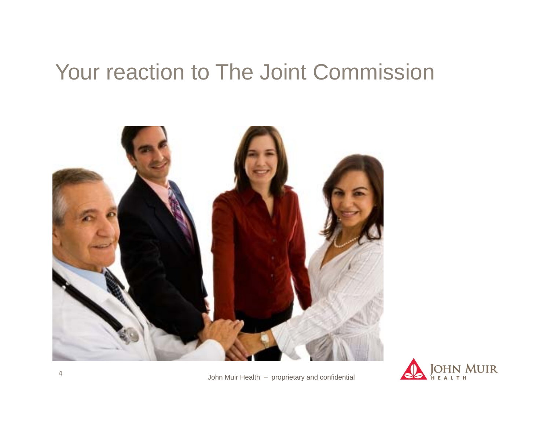# Your reaction to The Joint Commission





John Muir Health – proprietary and confidential <sup>4</sup>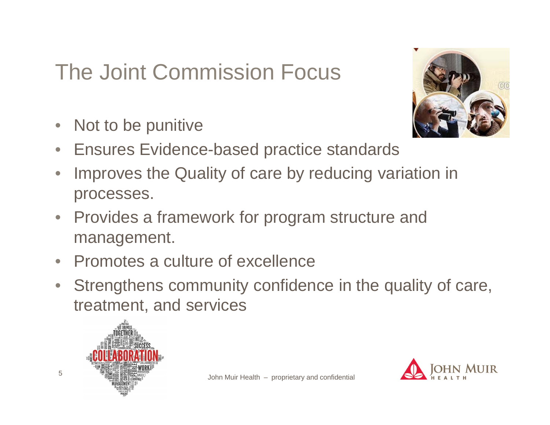# The Joint Commission Focus

 $\bigcirc$ Not to be punitive



- $\bigcirc$ Ensures Evidence-based practice standards
- $\bigcirc$  Improves the Quality of care by reducing variation in processes.
- $\bullet$  Provides a framework for program structure and management.
- Promotes a culture of excellence
- $\bullet$  Strengthens community confidence in the quality of care, treatment, and services



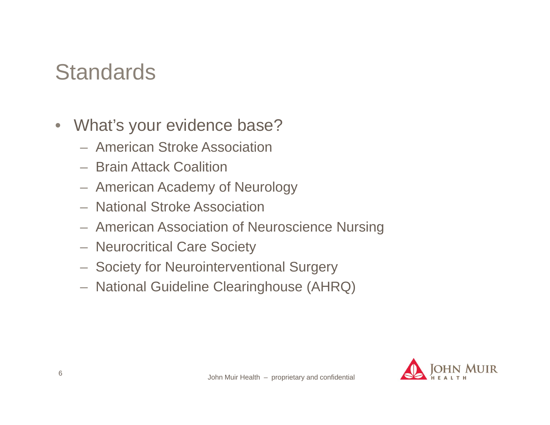# **Standards**

- $\bullet$  What's your evidence base?
	- American Stroke Association
	- Brain Attack Coalition
	- American Academy of Neurology
	- National Stroke Association
	- American Association of Neuroscience Nursing
	- Neurocritical Care Society
	- Society for Neurointerventional Surgery
	- National Guideline Clearinghouse (AHRQ)

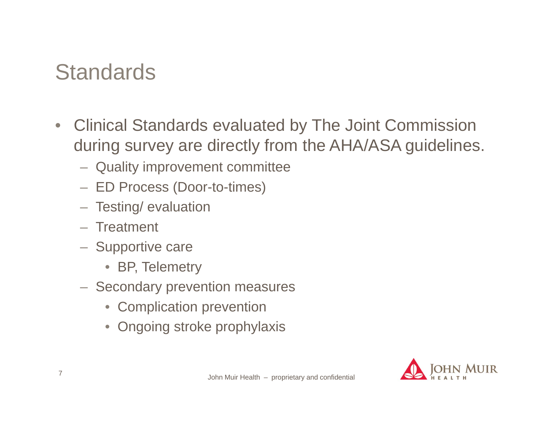# **Standards**

- $\bullet$  Clinical Standards evaluated by The Joint Commission during survey are directly from the AHA/ASA guidelines.
	- Quality improvement committee
	- ED Process (Door-to-times)
	- Testing/ evaluation
	- Treatment
	- Supportive care
		- BP, Telemetry
	- $-$  Secondary prevention measures
		- Complication prevention
		- $\bullet$ Ongoing stroke prophylaxis

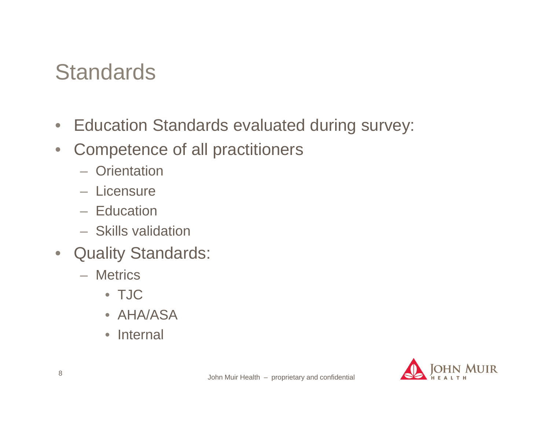# **Standards**

- Education Standards evaluated during survey:
- $\bullet$  Competence of all practitioners
	- Orientation
	- Licensure
	- Education
	- Skills validation
- $\bullet$  Quality Standards:
	- Metrics
		- TJC
		- AHA/ASA
		- Internal

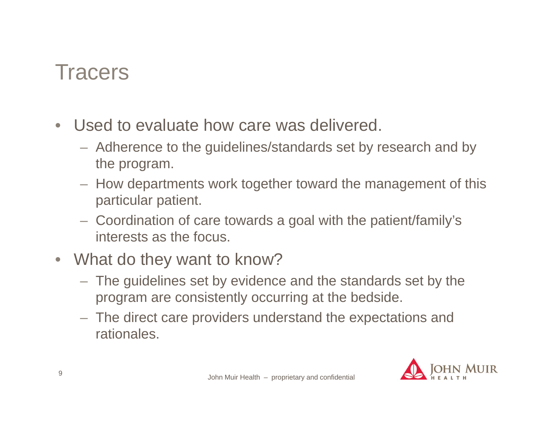#### **Tracers**

- $\bullet$  Used to evaluate how care was delivered.
	- Adherence to the guidelines/standards set by research and by the program.
	- $-$  How departments work together toward the management of this particular patient.
	- Coordination of care towards a goal with the patient/family's interests as the focus.
- What do they want to know?
	- The guidelines set by evidence and the standards set by the program are consistently occurring at the bedside.
	- The direct care providers understand the expectations and rationales.

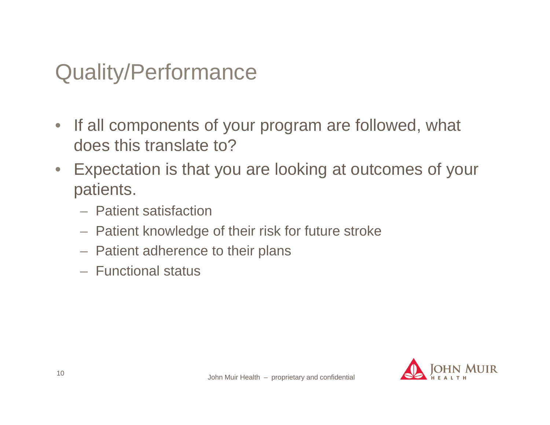# Quality/Performance

- If all components of your program are followed, what does this translate to?
- $\bullet$  Expectation is that you are looking at outcomes of your patients.
	- Patient satisfaction
	- $-$  Patient knowledge of their risk for future stroke
	- $-$  Patient adherence to their plans
	- Functional status

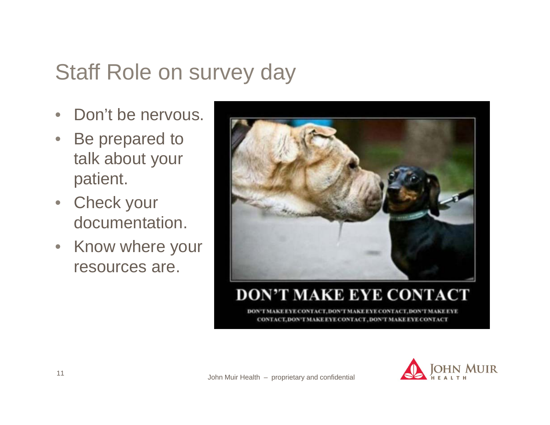# Staff Role on survey day

- $\bullet$ Don't be nervous.
- $\bullet$  Be prepared to talk about your patient.
- Check your documentation.
- Know where your resources are.



#### **DON'T MAKE EYE CONTACT**

**EVE CONTACT DON** 

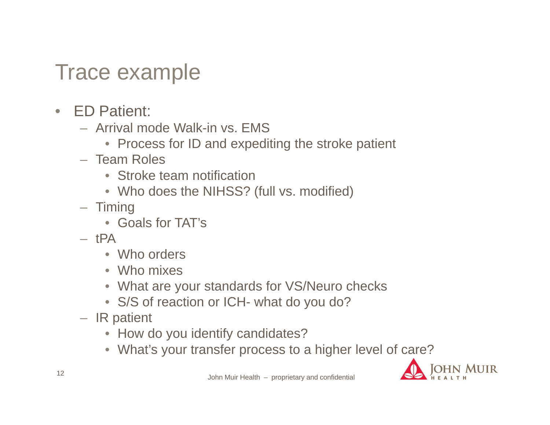#### Trace example

- ED Patient:
	- Arrival mode Walk-in vs. EMS
		- Process for ID and expediting the stroke patient
	- Team Roles
		- Stroke team notification
		- Who does the NIHSS? (full vs. modified)
	- Timing
		- Goals for TAT's
	- tPA
		- Who orders
		- Who mixes
		- What are your standards for VS/Neuro checks
		- S/S of reaction or ICH- what do you do?
	- IR patient
		- How do you identify candidates?
		- What's your transfer process to a higher level of care?

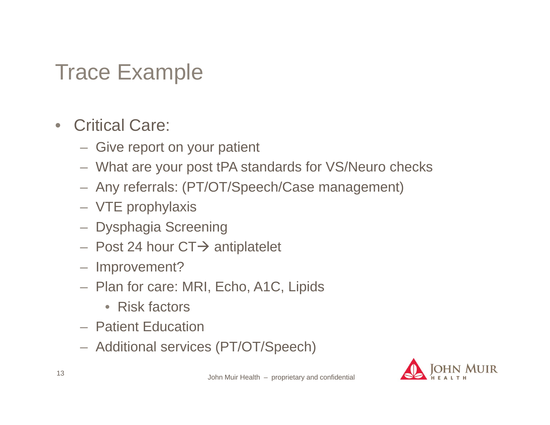### Trace Example

- $\bullet$  Critical Care:
	- $-$  Give report on your patient
	- What are your post tPA standards for VS/Neuro checks
	- Any referrals: (PT/OT/Speech/Case management)
	- VTE prophylaxis
	- Dysphagia Screening
	- $-$  Post 24 hour CT $\rightarrow$  antiplatelet
	- Improvement?
	- Plan for care: MRI, Echo, A1C, Lipids
		- Risk factors
	- Patient Education
	- Additional services (PT/OT/Speech)

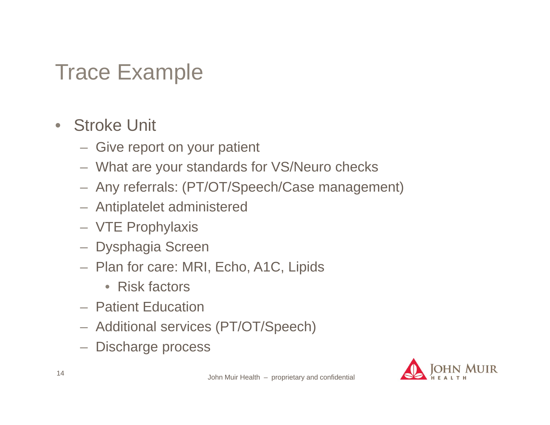## Trace Example

#### • Stroke Unit

- $-$  Give report on your patient
- What are your standards for VS/Neuro checks
- Any referrals: (PT/OT/Speech/Case management)
- Antiplatelet administered
- VTE Prophylaxis
- Dysphagia Screen
- Plan for care: MRI, Echo, A1C, Lipids
	- Risk factors
- Patient Education
- Additional services (PT/OT/Speech)
- Discharge process

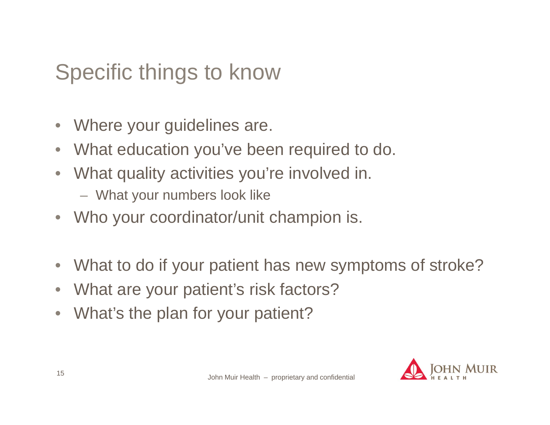# Specific things to know

- $\bullet$ Where your guidelines are.
- $\bullet$ What education you've been required to do.
- $\bullet$  What quality activities you're involved in.
	- What your numbers look like
- $\bullet$ Who your coordinator/unit champion is.
- $\bullet$ What to do if your patient has new symptoms of stroke?
- $\bullet$ What are your patient's risk factors?
- $\bullet$ What's the plan for your patient?

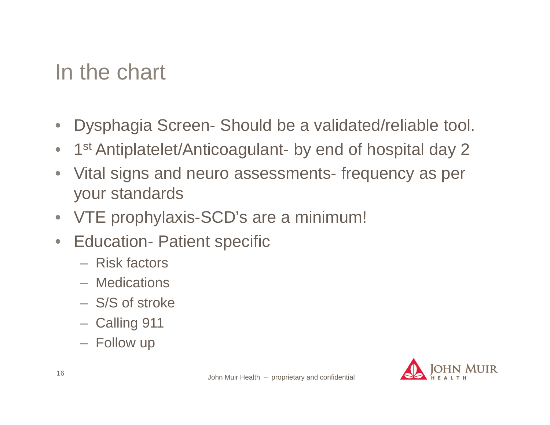# In the chart

- $\bullet$ Dysphagia Screen- Should be a validated/reliable tool.
- $\bullet$ 1<sup>st</sup> Antiplatelet/Anticoagulant- by end of hospital day 2
- Vital signs and neuro assessments- frequency as per your standards
- $\bullet$ VTE prophylaxis-SCD's are a minimum!
- $\bullet$  Education- Patient specific
	- Risk factors
	- Medications
	- S/S of stroke
	- Calling 911
	- Follow up

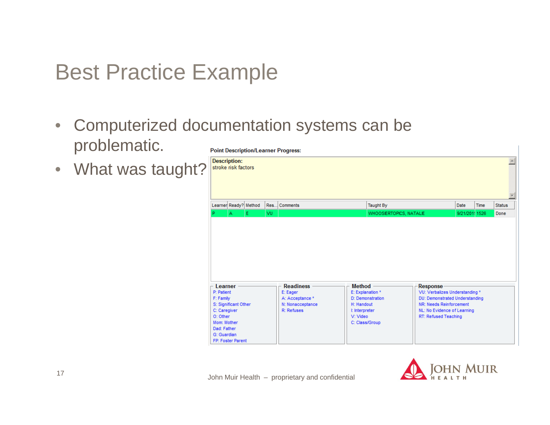# Best Practice Example

- Computerized documentation systems can be  $\bullet$ problematic. **Point Description/Learner Progress:**
- $\bullet$ What was taught?

| <b>Description:</b> | stroke risk factors                                           |  |     |                  |                |                                                                                      |                             |                |      |               |  |  |
|---------------------|---------------------------------------------------------------|--|-----|------------------|----------------|--------------------------------------------------------------------------------------|-----------------------------|----------------|------|---------------|--|--|
|                     | Learner Ready? Method                                         |  |     | Res Comments     |                | Taught By                                                                            |                             | Date           | Time | <b>Status</b> |  |  |
|                     | E<br>А                                                        |  | VU. |                  |                | WHOOSIERTOPICS, NATALIE                                                              |                             | 9/21/201: 1526 |      | Done          |  |  |
|                     |                                                               |  |     |                  |                |                                                                                      |                             |                |      |               |  |  |
| Learner             |                                                               |  |     | <b>Readiness</b> | <b>Method</b>  |                                                                                      | Response-                   |                |      |               |  |  |
| F: Family           | E: Explanation *<br>E: Eager<br>P: Patient<br>A: Acceptance * |  |     |                  |                | VU: Verbalizes Understanding *<br>D: Demonstration<br>DU: Demonstrated Understanding |                             |                |      |               |  |  |
|                     | S: Significant Other<br>N: Nonacceptance<br>H: Handout        |  |     |                  |                |                                                                                      | NR: Needs Reinforcement     |                |      |               |  |  |
|                     | R: Refuses<br>C: Caregiver<br>I: Interpreter                  |  |     |                  |                |                                                                                      | NL: No Evidence of Learning |                |      |               |  |  |
| O: Other            |                                                               |  |     |                  | V: Video       |                                                                                      | RT: Refused Teaching        |                |      |               |  |  |
| Mom: Mother         |                                                               |  |     |                  | C: Class/Group |                                                                                      |                             |                |      |               |  |  |
| Dad: Father         |                                                               |  |     |                  |                |                                                                                      |                             |                |      |               |  |  |
| G: Guardian         |                                                               |  |     |                  |                |                                                                                      |                             |                |      |               |  |  |
|                     | FP: Foster Parent                                             |  |     |                  |                |                                                                                      |                             |                |      |               |  |  |

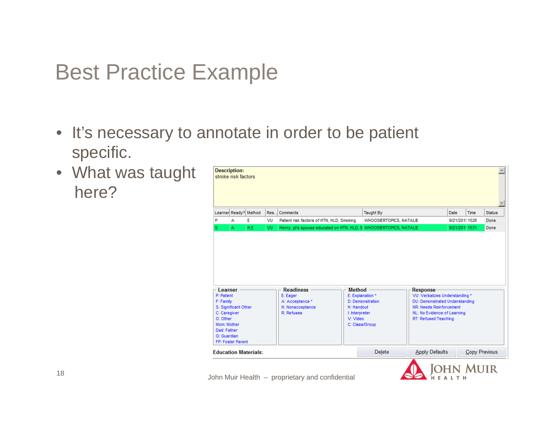#### Best Practice Example

- It's necessary to annotate in order to be patient specific.
- What was taught here?

| <b>Description:</b>                                                                                                                                      | stroke risk factors |     |      |                                                                                   |                                                    |                                                                  |                                                                                                                                                                                         |                  |               |               |
|----------------------------------------------------------------------------------------------------------------------------------------------------------|---------------------|-----|------|-----------------------------------------------------------------------------------|----------------------------------------------------|------------------------------------------------------------------|-----------------------------------------------------------------------------------------------------------------------------------------------------------------------------------------|------------------|---------------|---------------|
| Learner Ready? Method                                                                                                                                    |                     |     | Res. | Comments                                                                          |                                                    | <b>Taught By</b>                                                 |                                                                                                                                                                                         | Date             | Time          | <b>Status</b> |
| P                                                                                                                                                        | А                   | E   | VU   | Patient risk factors of HTN, HLD, Smoking                                         |                                                    | <b>WHOOSIERTOPICS, NATALIE</b>                                   |                                                                                                                                                                                         | 9/21/201! 1526   |               | Done          |
| s                                                                                                                                                        | A                   | H.E | VU   | Henry, pt's spouse educated on HTN, HLD, S WHOOSIERTOPICS, NATALIE                |                                                    |                                                                  |                                                                                                                                                                                         | 9/21/201: 1531   |               | Done          |
| Learner<br>P: Patient<br>F: Family<br>S: Significant Other<br>C: Caregiver<br>O: Other<br>Mom: Mother<br>Dad: Father<br>G: Guardian<br>FP: Foster Parent |                     |     |      | <b>Readiness</b><br>E: Eager<br>A: Acceptance *<br>N: Nonacceptance<br>R: Refuses | Method<br>H: Handout<br>I: Interpreter<br>V: Video | E: Explanation *<br>D: Demonstration<br>C: Class/Group<br>Delete | Response<br>VU: Verbalizes Understanding *<br>DU: Demonstrated Understanding<br>NR: Needs Reinforcement<br>NL: No Evidence of Learning<br>RT: Refused Teaching<br><b>Apply Defaults</b> |                  | Copy Previous |               |
| <b>Education Materials:</b>                                                                                                                              |                     |     |      |                                                                                   |                                                    |                                                                  |                                                                                                                                                                                         |                  |               |               |
|                                                                                                                                                          |                     |     |      |                                                                                   |                                                    |                                                                  |                                                                                                                                                                                         | <b>JOHN MUIR</b> |               |               |

HEALTH

John Muir Health – proprietary and confidential <sup>18</sup>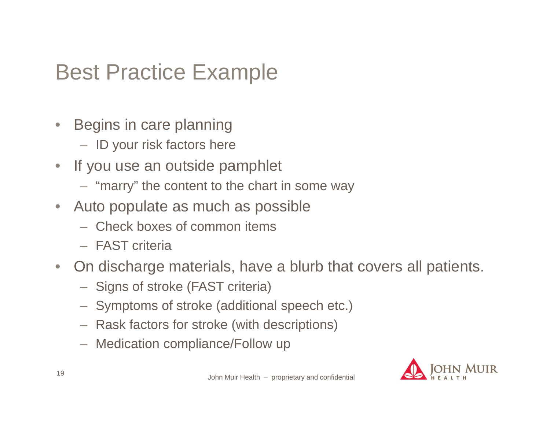# Best Practice Example

- $\bullet$  Begins in care planning
	- ID your risk factors here
- If you use an outside pamphlet
	- "marry" the content to the chart in some way
- Auto populate as much as possible
	- Check boxes of common items
	- FAST criteria
- $\bullet$  On discharge materials, have a blurb that covers all patients.
	- $-$  Signs of stroke (FAST criteria)
	- $-$  Symptoms of stroke (additional speech etc.)
	- Rask factors for stroke (with descriptions)
	- Medication compliance/Follow up

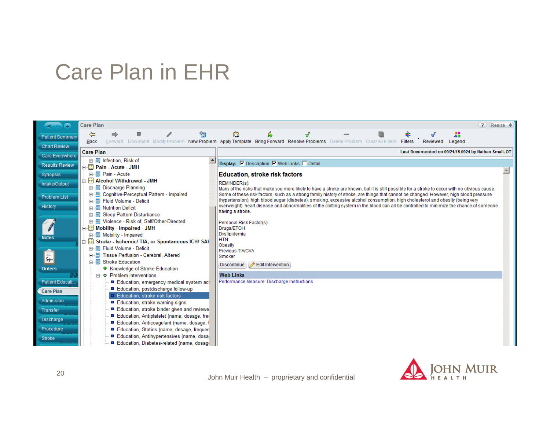## Care Plan in EHR

| ÷                      | <b>Care Plan</b>                                                                           | $\overline{?}$<br>Resize ♦                                                                                                                                   |  |  |  |  |  |  |  |  |
|------------------------|--------------------------------------------------------------------------------------------|--------------------------------------------------------------------------------------------------------------------------------------------------------------|--|--|--|--|--|--|--|--|
| Patient Summan         | ħ<br>⇦<br>⇛                                                                                | 丰<br>B<br>28                                                                                                                                                 |  |  |  |  |  |  |  |  |
| <b>Chart Review</b>    | <b>Back</b>                                                                                | Forward Document Modify Problem New Problem Apply Template Bring Forward Resolve Problems Delete Problem Clear All Filters<br>Filters<br>Reviewed<br>Legend  |  |  |  |  |  |  |  |  |
|                        | <b>Care Plan</b>                                                                           | Last Documented on 09/21/15 0924 by Nathan Small, OT                                                                                                         |  |  |  |  |  |  |  |  |
| <b>Care Everywhere</b> | 由 Infection, Risk of                                                                       |                                                                                                                                                              |  |  |  |  |  |  |  |  |
| <b>Results Review</b>  | ⊟⊶ <mark>⊞</mark> Pain - Acute - JMH                                                       | Display: <b>▽</b> Description ▽ Web Links □ Detail                                                                                                           |  |  |  |  |  |  |  |  |
| <b>Synopsis</b>        | 由 图 Pain - Acute                                                                           | <b>Education, stroke risk factors</b>                                                                                                                        |  |  |  |  |  |  |  |  |
| Intake/Output          | 白 <b>El Alcohol Withdrawal - JMH</b>                                                       | <b>REMINDER(s):</b>                                                                                                                                          |  |  |  |  |  |  |  |  |
|                        | 由 <b>I</b> Discharge Planning                                                              | Many of the risks that make you more likely to have a stroke are known, but it is still possible for a stroke to occur with no obvious cause.                |  |  |  |  |  |  |  |  |
| <b>Problem List</b>    | 由 图 Cognitive-Perceptual Pattern - Impaired                                                | Some of these risk factors, such as a strong family history of stroke, are things that cannot be changed. However, high blood pressure                       |  |  |  |  |  |  |  |  |
|                        | 由 图 Fluid Volume - Deficit                                                                 | (hypertension), high blood sugar (diabetes), smoking, excessive alcohol consumption, high cholesterol and obesity (being very                                |  |  |  |  |  |  |  |  |
| <b>History</b>         | <b>中国 Nutrition Deficit</b>                                                                | overweight), heart disease and abnormalities of the clotting system in the blood can all be controlled to minimize the chance of someone<br>having a stroke. |  |  |  |  |  |  |  |  |
|                        | <b>E- I</b> Sleep Pattern Disturbance                                                      |                                                                                                                                                              |  |  |  |  |  |  |  |  |
|                        | 由 图 Violence - Risk of, Self/Other-Directed                                                | Personal Risk Factor(s):                                                                                                                                     |  |  |  |  |  |  |  |  |
|                        | 自 B Mobility - Impaired - JMH                                                              | Drugs/ETOH<br>Dyslipidemia                                                                                                                                   |  |  |  |  |  |  |  |  |
| <b>Notes</b>           | 由 图 Mobility - Impaired<br>E Stroke - Ischemic/ TIA, or Spontaneous ICH/ SAH               | <b>HTN</b>                                                                                                                                                   |  |  |  |  |  |  |  |  |
|                        | 由 图 Fluid Volume - Deficit                                                                 | Obesity                                                                                                                                                      |  |  |  |  |  |  |  |  |
|                        | 白 图 Tissue Perfusion - Cerebral, Altered                                                   | <b>Previous TIA/CVA</b><br>Smoker                                                                                                                            |  |  |  |  |  |  |  |  |
| FIF                    | 白 图 Stroke Education                                                                       |                                                                                                                                                              |  |  |  |  |  |  |  |  |
| <b>Orders</b>          | ● Knowledge of Stroke Education                                                            | Discontinue   <b>/</b> Edit Intervention                                                                                                                     |  |  |  |  |  |  |  |  |
|                        | <b>A O</b> Problem Interventions                                                           | <b>Web Links</b>                                                                                                                                             |  |  |  |  |  |  |  |  |
| Patient Educati        | ■ Education, emergency medical system act                                                  | Performance Measure: Discharge Instructions                                                                                                                  |  |  |  |  |  |  |  |  |
| <b>Care Plan</b>       | Education, postdischarge follow-up                                                         |                                                                                                                                                              |  |  |  |  |  |  |  |  |
| <b>Admission</b>       | Education, stroke risk factors                                                             |                                                                                                                                                              |  |  |  |  |  |  |  |  |
|                        | ■ Education, stroke warning signs                                                          |                                                                                                                                                              |  |  |  |  |  |  |  |  |
| <b>Transfer</b>        | Education, stroke binder given and reviewe                                                 |                                                                                                                                                              |  |  |  |  |  |  |  |  |
| Discharge              | Education, Antiplatelet (name, dosage, fred                                                |                                                                                                                                                              |  |  |  |  |  |  |  |  |
| Procedure              | ■ Education, Anticoagulant (name, dosage, f<br>■ Education, Statins (name, dosage, frequen |                                                                                                                                                              |  |  |  |  |  |  |  |  |
|                        | Education, Antihypertensives (name, dosa                                                   |                                                                                                                                                              |  |  |  |  |  |  |  |  |
| <b>Stroke</b>          | Education, Diabetes-related (name, dosage                                                  |                                                                                                                                                              |  |  |  |  |  |  |  |  |

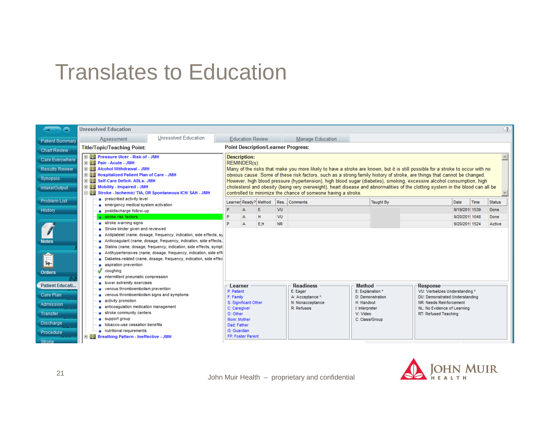#### Translates to Education

| a<br>$\rightarrow$                                                                            | $\left( 2\right)$<br><b>Unresolved Education</b>                                                                                                                                                                                                                                                                                                                      |                             |                                                                                                                                                                                                                                                                                                                                                                                                                                                        |                                                                                                                                                          |          |                 |                                                                                   |                                                                                                                     |  |      |                                                                                                                                                                       |               |                |
|-----------------------------------------------------------------------------------------------|-----------------------------------------------------------------------------------------------------------------------------------------------------------------------------------------------------------------------------------------------------------------------------------------------------------------------------------------------------------------------|-----------------------------|--------------------------------------------------------------------------------------------------------------------------------------------------------------------------------------------------------------------------------------------------------------------------------------------------------------------------------------------------------------------------------------------------------------------------------------------------------|----------------------------------------------------------------------------------------------------------------------------------------------------------|----------|-----------------|-----------------------------------------------------------------------------------|---------------------------------------------------------------------------------------------------------------------|--|------|-----------------------------------------------------------------------------------------------------------------------------------------------------------------------|---------------|----------------|
| <b>Patient Summary</b>                                                                        | Assessment                                                                                                                                                                                                                                                                                                                                                            | <b>Unresolved Education</b> |                                                                                                                                                                                                                                                                                                                                                                                                                                                        | <b>Education Review</b><br><b>Manage Education</b>                                                                                                       |          |                 |                                                                                   |                                                                                                                     |  |      |                                                                                                                                                                       |               |                |
| <b>Chart Review</b>                                                                           | <b>Title/Topic/Teaching Point:</b>                                                                                                                                                                                                                                                                                                                                    |                             | <b>Point Description/Learner Progress:</b>                                                                                                                                                                                                                                                                                                                                                                                                             |                                                                                                                                                          |          |                 |                                                                                   |                                                                                                                     |  |      |                                                                                                                                                                       |               |                |
| Care Everywhere<br><b>Results Review</b>                                                      | 田 图 Pressure Ulcer - Risk of - JMH<br><b>El Pain - Acute - JMH</b><br><b>El Alcohol Withdrawal - JMH</b>                                                                                                                                                                                                                                                              |                             | <b>Description:</b><br>REMINDER(s):<br>Many of the risks that make you more likely to have a stroke are known, but it is still possible for a stroke to occur with no                                                                                                                                                                                                                                                                                  |                                                                                                                                                          |          |                 |                                                                                   |                                                                                                                     |  |      |                                                                                                                                                                       |               |                |
| <b>Synopsis</b><br>Intake/Output                                                              | 白 图 Hospitalized Patient Plan of Care - JMH<br>Self-Care Deficit-ADLs-JMH<br>由相目<br>由圖<br>Mobility - Impaired - JMH<br>ė II<br>Stroke - Ischemic/ TIA, OR Spontaneous ICH/ SAH - JMH                                                                                                                                                                                  |                             | obvious cause. Some of these risk factors, such as a strong family history of stroke, are things that cannot be changed.<br>However, high blood pressure (hypertension), high blood sugar (diabetes), smoking, excessive alcohol consumption, high<br>cholesterol and obesity (being very overweight), heart disease and abnormalities of the clotting system in the blood can all be<br>controlled to minimize the chance of someone having a stroke. |                                                                                                                                                          |          |                 |                                                                                   |                                                                                                                     |  |      |                                                                                                                                                                       |               |                |
| <b>Problem List</b>                                                                           | <b>a</b> prescribed activity level<br>emergency medical system activation                                                                                                                                                                                                                                                                                             |                             | Learner Ready? Method                                                                                                                                                                                                                                                                                                                                                                                                                                  |                                                                                                                                                          |          | Res Comments    | <b>Taught By</b>                                                                  |                                                                                                                     |  | Date | Time                                                                                                                                                                  | <b>Status</b> |                |
| <b>History</b>                                                                                | <b>a</b> postdischarge follow-up                                                                                                                                                                                                                                                                                                                                      |                             |                                                                                                                                                                                                                                                                                                                                                                                                                                                        |                                                                                                                                                          |          | <b>VU</b>       |                                                                                   |                                                                                                                     |  |      | 9/19/201! 1539                                                                                                                                                        |               | Done           |
|                                                                                               | a stroke risk factors<br>stroke warning signs                                                                                                                                                                                                                                                                                                                         |                             |                                                                                                                                                                                                                                                                                                                                                                                                                                                        | Δ                                                                                                                                                        | H<br>E,H | VU<br><b>NR</b> |                                                                                   |                                                                                                                     |  |      | 9/20/201! 1048<br>9/20/201! 1524                                                                                                                                      |               | Done<br>Active |
| <b>Notes</b>                                                                                  | Stroke binder given and reviewed<br>Antiplatelet (name, dosage, frequency, indication, side effects, sy<br>Anticoaqulant (name, dosage, frequency, indication, side effects,<br><b>a</b> Statins (name, dosage, frequency, indication, side effects, sympt                                                                                                            |                             |                                                                                                                                                                                                                                                                                                                                                                                                                                                        |                                                                                                                                                          |          |                 |                                                                                   |                                                                                                                     |  |      |                                                                                                                                                                       |               |                |
| \$11                                                                                          | Antihypertensives (name, dosage, frequency, indication, side effi<br>Diabetes-related (name, dosage, frequency, indication, side effec<br>aspiration prevention                                                                                                                                                                                                       |                             |                                                                                                                                                                                                                                                                                                                                                                                                                                                        |                                                                                                                                                          |          |                 |                                                                                   |                                                                                                                     |  |      |                                                                                                                                                                       |               |                |
| <b>Orders</b>                                                                                 | coughing<br>v<br><b>u</b> intermittent pneumatic compression                                                                                                                                                                                                                                                                                                          |                             |                                                                                                                                                                                                                                                                                                                                                                                                                                                        |                                                                                                                                                          |          |                 |                                                                                   |                                                                                                                     |  |      |                                                                                                                                                                       |               |                |
| <b>Patient Educati</b><br>Care Plan<br>Admission<br><b>Transfer</b><br>Discharge<br>Procedure | <b>a</b> lower extremity exercises<br><b>a</b> venous thromboembolism prevention<br><b>a</b> venous thromboembolism signs and symptoms<br>a activity promotion<br>anticoaqulation medication management<br>stroke community centers<br>a support group<br>a tobacco-use cessation benefits<br>a nutritional requirements<br>白 图 Breathing Pattern - Ineffective - JMH |                             |                                                                                                                                                                                                                                                                                                                                                                                                                                                        | Learner<br>P: Patient<br>F: Family<br>S: Significant Other<br>C: Caregiver<br>O: Other<br>Mom: Mother<br>Dad: Father<br>G: Guardian<br>FP: Foster Parent |          |                 | <b>Readiness</b><br>E: Eager<br>A: Acceptance *<br>N: Nonacceptance<br>R: Refuses | <b>Method</b><br>E: Explanation *<br>D: Demonstration<br>H: Handout<br>I: Interpreter<br>V: Video<br>C: Class/Group |  |      | <b>Response</b><br>VU: Verbalizes Understanding *<br>DU: Demonstrated Understanding<br>NR: Needs Reinforcement<br>NL: No Evidence of Learning<br>RT: Refused Teaching |               |                |

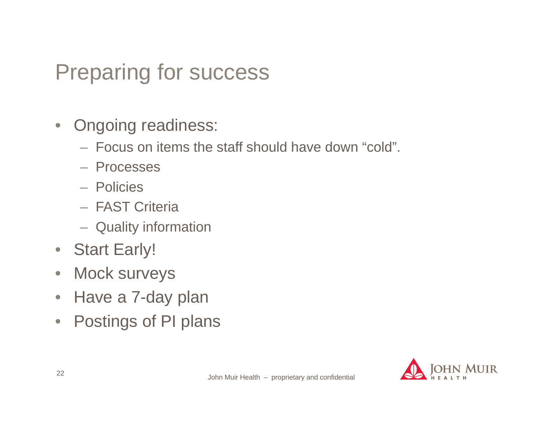# Preparing for success

- $\bullet$  Ongoing readiness:
	- Focus on items the staff should have down "cold".
	- Processes
	- Policies
	- FAST Criteria
	- Quality information
- Start Early!
- $\bullet$ Mock surveys
- $\bullet$ Have a 7-day plan
- $\bullet$ Postings of PI plans